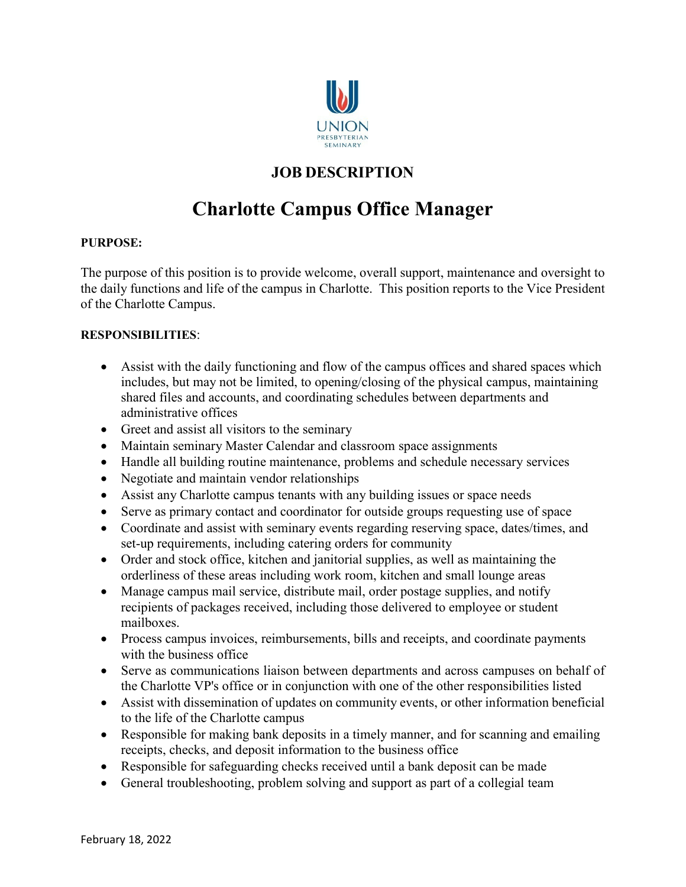

## **JOB DESCRIPTION**

# **Charlotte Campus Office Manager**

### **PURPOSE:**

The purpose of this position is to provide welcome, overall support, maintenance and oversight to the daily functions and life of the campus in Charlotte. This position reports to the Vice President of the Charlotte Campus.

### **RESPONSIBILITIES**:

- Assist with the daily functioning and flow of the campus offices and shared spaces which includes, but may not be limited, to opening/closing of the physical campus, maintaining shared files and accounts, and coordinating schedules between departments and administrative offices
- Greet and assist all visitors to the seminary
- Maintain seminary Master Calendar and classroom space assignments
- Handle all building routine maintenance, problems and schedule necessary services
- Negotiate and maintain vendor relationships
- Assist any Charlotte campus tenants with any building issues or space needs
- Serve as primary contact and coordinator for outside groups requesting use of space
- Coordinate and assist with seminary events regarding reserving space, dates/times, and set-up requirements, including catering orders for community
- Order and stock office, kitchen and janitorial supplies, as well as maintaining the orderliness of these areas including work room, kitchen and small lounge areas
- Manage campus mail service, distribute mail, order postage supplies, and notify recipients of packages received, including those delivered to employee or student mailboxes.
- Process campus invoices, reimbursements, bills and receipts, and coordinate payments with the business office
- Serve as communications liaison between departments and across campuses on behalf of the Charlotte VP's office or in conjunction with one of the other responsibilities listed
- Assist with dissemination of updates on community events, or other information beneficial to the life of the Charlotte campus
- Responsible for making bank deposits in a timely manner, and for scanning and emailing receipts, checks, and deposit information to the business office
- Responsible for safeguarding checks received until a bank deposit can be made
- General troubleshooting, problem solving and support as part of a collegial team